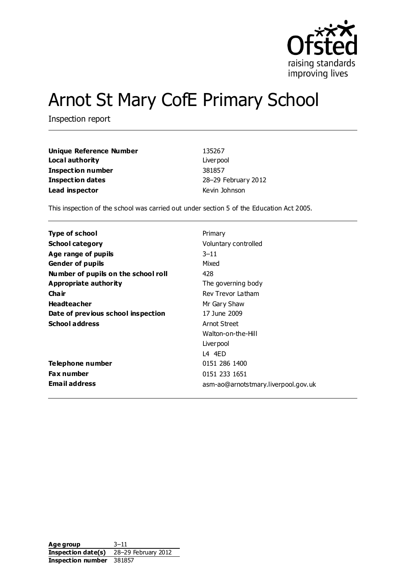

# Arnot St Mary CofE Primary School

Inspection report

| Unique Reference Number | 135267              |
|-------------------------|---------------------|
| Local authority         | Liver pool          |
| Inspection number       | 381857              |
| <b>Inspection dates</b> | 28-29 February 2012 |
| Lead inspector          | Kevin Johnson       |

This inspection of the school was carried out under section 5 of the Education Act 2005.

| <b>Type of school</b>               | Primary                             |
|-------------------------------------|-------------------------------------|
| <b>School category</b>              | Voluntary controlled                |
| Age range of pupils                 | $3 - 11$                            |
| <b>Gender of pupils</b>             | Mixed                               |
| Number of pupils on the school roll | 428                                 |
| Appropriate authority               | The governing body                  |
| Cha ir                              | Rev Trevor Latham                   |
| <b>Headteacher</b>                  | Mr Gary Shaw                        |
| Date of previous school inspection  | 17 June 2009                        |
| <b>School address</b>               | Arnot Street                        |
|                                     | Walton-on-the-Hill                  |
|                                     | Liver pool                          |
|                                     | L4 4ED                              |
| Telephone number                    | 0151 286 1400                       |
| <b>Fax number</b>                   | 0151 233 1651                       |
| <b>Email address</b>                | asm-ao@arnotstmary.liverpool.gov.uk |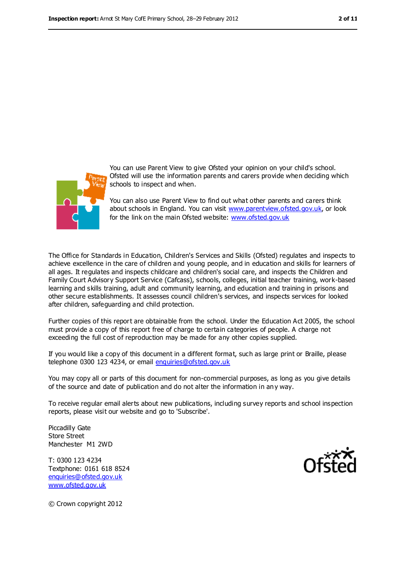

You can use Parent View to give Ofsted your opinion on your child's school. Ofsted will use the information parents and carers provide when deciding which schools to inspect and when.

You can also use Parent View to find out what other parents and carers think about schools in England. You can visit [www.parentview.ofsted.gov.uk,](file:///C:/Users/rcowley/AppData/Local/rcowley/AppData/Local/Temp/AppData/Local/Microsoft/Windows/Temporary%20Internet%20Files/Low/Content.IE5/AppData/Local/Microsoft/Windows/Temporary%20Internet%20Files/Low/Content.IE5/KZPJEWBO/www.parentview.ofsted.gov.uk) or look for the link on the main Ofsted website: [www.ofsted.gov.uk](file:///C:/Users/rcowley/AppData/Local/rcowley/AppData/Local/Temp/AppData/Local/Microsoft/Windows/Temporary%20Internet%20Files/Low/Content.IE5/AppData/Local/Microsoft/Windows/Temporary%20Internet%20Files/Low/Content.IE5/KZPJEWBO/www.ofsted.gov.uk)

The Office for Standards in Education, Children's Services and Skills (Ofsted) regulates and inspects to achieve excellence in the care of children and young people, and in education and skills for learners of all ages. It regulates and inspects childcare and children's social care, and inspects the Children and Family Court Advisory Support Service (Cafcass), schools, colleges, initial teacher training, work-based learning and skills training, adult and community learning, and education and training in prisons and other secure establishments. It assesses council children's services, and inspects services for looked after children, safeguarding and child protection.

Further copies of this report are obtainable from the school. Under the Education Act 2005, the school must provide a copy of this report free of charge to certain categories of people. A charge not exceeding the full cost of reproduction may be made for any other copies supplied.

If you would like a copy of this document in a different format, such as large print or Braille, please telephone 0300 123 4234, or email [enquiries@ofsted.gov.uk](mailto:enquiries@ofsted.gov.uk)

You may copy all or parts of this document for non-commercial purposes, as long as you give details of the source and date of publication and do not alter the information in any way.

To receive regular email alerts about new publications, including survey reports and school inspection reports, please visit our website and go to 'Subscribe'.

Piccadilly Gate Store Street Manchester M1 2WD

T: 0300 123 4234 Textphone: 0161 618 8524 [enquiries@ofsted.gov.uk](mailto:enquiries@ofsted.gov.uk) [www.ofsted.gov.uk](http://www.ofsted.gov.uk/)



© Crown copyright 2012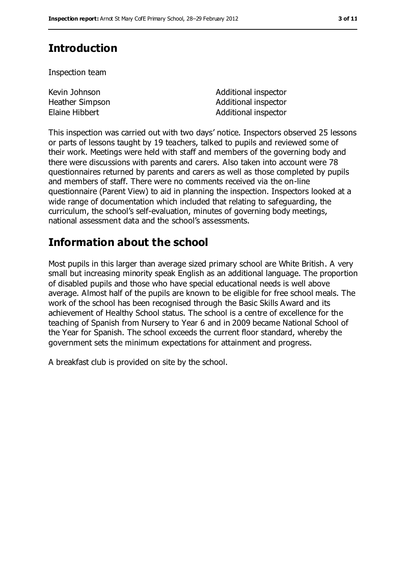# **Introduction**

Inspection team

| Kevin Johnson   | Additional inspector |
|-----------------|----------------------|
| Heather Simpson | Additional inspector |
| Elaine Hibbert  | Additional inspector |

This inspection was carried out with two days' notice. Inspectors observed 25 lessons or parts of lessons taught by 19 teachers, talked to pupils and reviewed some of their work. Meetings were held with staff and members of the governing body and there were discussions with parents and carers. Also taken into account were 78 questionnaires returned by parents and carers as well as those completed by pupils and members of staff. There were no comments received via the on-line questionnaire (Parent View) to aid in planning the inspection. Inspectors looked at a wide range of documentation which included that relating to safeguarding, the curriculum, the school's self-evaluation, minutes of governing body meetings, national assessment data and the school's assessments.

# **Information about the school**

Most pupils in this larger than average sized primary school are White British. A very small but increasing minority speak English as an additional language. The proportion of disabled pupils and those who have special educational needs is well above average. Almost half of the pupils are known to be eligible for free school meals. The work of the school has been recognised through the Basic Skills Award and its achievement of Healthy School status. The school is a centre of excellence for the teaching of Spanish from Nursery to Year 6 and in 2009 became National School of the Year for Spanish. The school exceeds the current floor standard, whereby the government sets the minimum expectations for attainment and progress.

A breakfast club is provided on site by the school.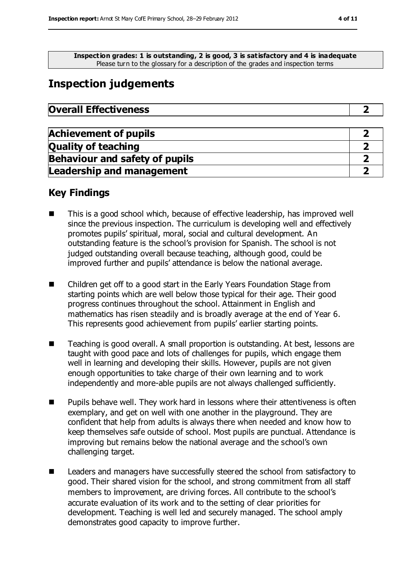**Inspection grades: 1 is outstanding, 2 is good, 3 is satisfactory and 4 is inadequate** Please turn to the glossary for a description of the grades and inspection terms

## **Inspection judgements**

| <b>Overall Effectiveness</b> |
|------------------------------|
|------------------------------|

| <b>Achievement of pupils</b>          |  |
|---------------------------------------|--|
| <b>Quality of teaching</b>            |  |
| <b>Behaviour and safety of pupils</b> |  |
| <b>Leadership and management</b>      |  |

### **Key Findings**

- This is a good school which, because of effective leadership, has improved well since the previous inspection. The curriculum is developing well and effectively promotes pupils' spiritual, moral, social and cultural development. An outstanding feature is the school's provision for Spanish. The school is not judged outstanding overall because teaching, although good, could be improved further and pupils' attendance is below the national average.
- Children get off to a good start in the Early Years Foundation Stage from starting points which are well below those typical for their age. Their good progress continues throughout the school. Attainment in English and mathematics has risen steadily and is broadly average at the end of Year 6. This represents good achievement from pupils' earlier starting points.
- Teaching is good overall. A small proportion is outstanding. At best, lessons are taught with good pace and lots of challenges for pupils, which engage them well in learning and developing their skills. However, pupils are not given enough opportunities to take charge of their own learning and to work independently and more-able pupils are not always challenged sufficiently.
- Pupils behave well. They work hard in lessons where their attentiveness is often exemplary, and get on well with one another in the playground. They are confident that help from adults is always there when needed and know how to keep themselves safe outside of school. Most pupils are punctual. Attendance is improving but remains below the national average and the school's own challenging target.
- Leaders and managers have successfully steered the school from satisfactory to good. Their shared vision for the school, and strong commitment from all staff members to improvement, are driving forces. All contribute to the school's accurate evaluation of its work and to the setting of clear priorities for development. Teaching is well led and securely managed. The school amply demonstrates good capacity to improve further.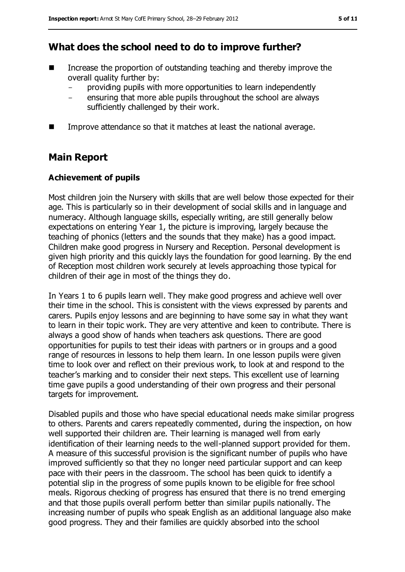### **What does the school need to do to improve further?**

- $\blacksquare$  Increase the proportion of outstanding teaching and thereby improve the overall quality further by:
	- providing pupils with more opportunities to learn independently
	- ensuring that more able pupils throughout the school are always sufficiently challenged by their work.
- **IMPROVE EXTEDED** Improve attendance so that it matches at least the national average.

### **Main Report**

#### **Achievement of pupils**

Most children join the Nursery with skills that are well below those expected for their age. This is particularly so in their development of social skills and in language and numeracy. Although language skills, especially writing, are still generally below expectations on entering Year 1, the picture is improving, largely because the teaching of phonics (letters and the sounds that they make) has a good impact. Children make good progress in Nursery and Reception. Personal development is given high priority and this quickly lays the foundation for good learning. By the end of Reception most children work securely at levels approaching those typical for children of their age in most of the things they do.

In Years 1 to 6 pupils learn well. They make good progress and achieve well over their time in the school. This is consistent with the views expressed by parents and carers. Pupils enjoy lessons and are beginning to have some say in what they want to learn in their topic work. They are very attentive and keen to contribute. There is always a good show of hands when teachers ask questions. There are good opportunities for pupils to test their ideas with partners or in groups and a good range of resources in lessons to help them learn. In one lesson pupils were given time to look over and reflect on their previous work, to look at and respond to the teacher's marking and to consider their next steps. This excellent use of learning time gave pupils a good understanding of their own progress and their personal targets for improvement.

Disabled pupils and those who have special educational needs make similar progress to others. Parents and carers repeatedly commented, during the inspection, on how well supported their children are. Their learning is managed well from early identification of their learning needs to the well-planned support provided for them. A measure of this successful provision is the significant number of pupils who have improved sufficiently so that they no longer need particular support and can keep pace with their peers in the classroom. The school has been quick to identify a potential slip in the progress of some pupils known to be eligible for free school meals. Rigorous checking of progress has ensured that there is no trend emerging and that those pupils overall perform better than similar pupils nationally. The increasing number of pupils who speak English as an additional language also make good progress. They and their families are quickly absorbed into the school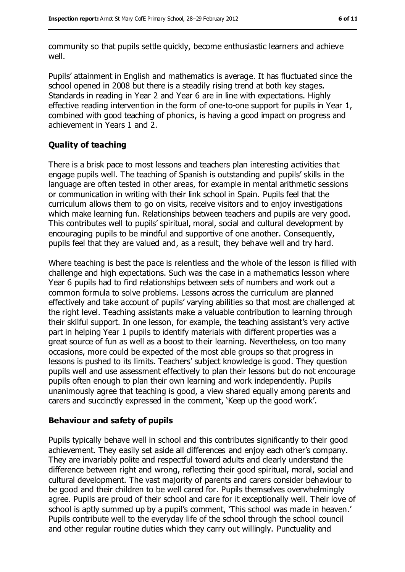community so that pupils settle quickly, become enthusiastic learners and achieve well.

Pupils' attainment in English and mathematics is average. It has fluctuated since the school opened in 2008 but there is a steadily rising trend at both key stages. Standards in reading in Year 2 and Year 6 are in line with expectations. Highly effective reading intervention in the form of one-to-one support for pupils in Year 1, combined with good teaching of phonics, is having a good impact on progress and achievement in Years 1 and 2.

#### **Quality of teaching**

There is a brisk pace to most lessons and teachers plan interesting activities that engage pupils well. The teaching of Spanish is outstanding and pupils' skills in the language are often tested in other areas, for example in mental arithmetic sessions or communication in writing with their link school in Spain. Pupils feel that the curriculum allows them to go on visits, receive visitors and to enjoy investigations which make learning fun. Relationships between teachers and pupils are very good. This contributes well to pupils' spiritual, moral, social and cultural development by encouraging pupils to be mindful and supportive of one another. Consequently, pupils feel that they are valued and, as a result, they behave well and try hard.

Where teaching is best the pace is relentless and the whole of the lesson is filled with challenge and high expectations. Such was the case in a mathematics lesson where Year 6 pupils had to find relationships between sets of numbers and work out a common formula to solve problems. Lessons across the curriculum are planned effectively and take account of pupils' varying abilities so that most are challenged at the right level. Teaching assistants make a valuable contribution to learning through their skilful support. In one lesson, for example, the teaching assistant's very active part in helping Year 1 pupils to identify materials with different properties was a great source of fun as well as a boost to their learning. Nevertheless, on too many occasions, more could be expected of the most able groups so that progress in lessons is pushed to its limits. Teachers' subject knowledge is good. They question pupils well and use assessment effectively to plan their lessons but do not encourage pupils often enough to plan their own learning and work independently. Pupils unanimously agree that teaching is good, a view shared equally among parents and carers and succinctly expressed in the comment, 'Keep up the good work'.

#### **Behaviour and safety of pupils**

Pupils typically behave well in school and this contributes significantly to their good achievement. They easily set aside all differences and enjoy each other's company. They are invariably polite and respectful toward adults and clearly understand the difference between right and wrong, reflecting their good spiritual, moral, social and cultural development. The vast majority of parents and carers consider behaviour to be good and their children to be well cared for. Pupils themselves overwhelmingly agree. Pupils are proud of their school and care for it exceptionally well. Their love of school is aptly summed up by a pupil's comment, 'This school was made in heaven.' Pupils contribute well to the everyday life of the school through the school council and other regular routine duties which they carry out willingly. Punctuality and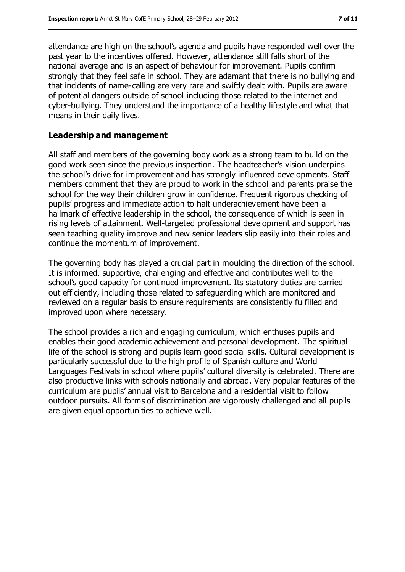attendance are high on the school's agenda and pupils have responded well over the past year to the incentives offered. However, attendance still falls short of the national average and is an aspect of behaviour for improvement. Pupils confirm strongly that they feel safe in school. They are adamant that there is no bullying and that incidents of name-calling are very rare and swiftly dealt with. Pupils are aware of potential dangers outside of school including those related to the internet and cyber-bullying. They understand the importance of a healthy lifestyle and what that means in their daily lives.

#### **Leadership and management**

All staff and members of the governing body work as a strong team to build on the good work seen since the previous inspection. The headteacher's vision underpins the school's drive for improvement and has strongly influenced developments. Staff members comment that they are proud to work in the school and parents praise the school for the way their children grow in confidence. Frequent rigorous checking of pupils' progress and immediate action to halt underachievement have been a hallmark of effective leadership in the school, the consequence of which is seen in rising levels of attainment. Well-targeted professional development and support has seen teaching quality improve and new senior leaders slip easily into their roles and continue the momentum of improvement.

The governing body has played a crucial part in moulding the direction of the school. It is informed, supportive, challenging and effective and contributes well to the school's good capacity for continued improvement. Its statutory duties are carried out efficiently, including those related to safeguarding which are monitored and reviewed on a regular basis to ensure requirements are consistently fulfilled and improved upon where necessary.

The school provides a rich and engaging curriculum, which enthuses pupils and enables their good academic achievement and personal development. The spiritual life of the school is strong and pupils learn good social skills. Cultural development is particularly successful due to the high profile of Spanish culture and World Languages Festivals in school where pupils' cultural diversity is celebrated. There are also productive links with schools nationally and abroad. Very popular features of the curriculum are pupils' annual visit to Barcelona and a residential visit to follow outdoor pursuits. All forms of discrimination are vigorously challenged and all pupils are given equal opportunities to achieve well.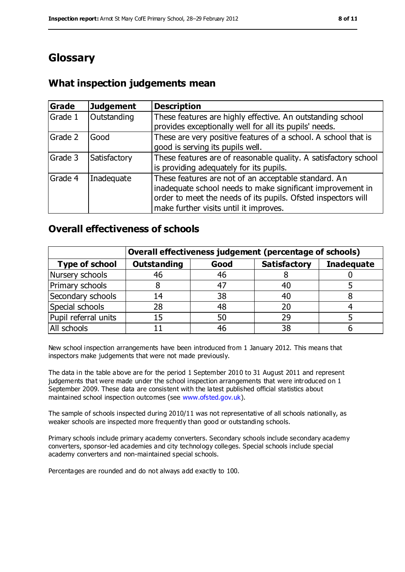# **Glossary**

### **What inspection judgements mean**

| Grade   | Judgement    | <b>Description</b>                                                                                                                                                                                                            |
|---------|--------------|-------------------------------------------------------------------------------------------------------------------------------------------------------------------------------------------------------------------------------|
| Grade 1 | Outstanding  | These features are highly effective. An outstanding school<br>provides exceptionally well for all its pupils' needs.                                                                                                          |
| Grade 2 | Good         | These are very positive features of a school. A school that is<br>good is serving its pupils well.                                                                                                                            |
| Grade 3 | Satisfactory | These features are of reasonable quality. A satisfactory school<br>is providing adequately for its pupils.                                                                                                                    |
| Grade 4 | Inadequate   | These features are not of an acceptable standard. An<br>inadequate school needs to make significant improvement in<br>order to meet the needs of its pupils. Ofsted inspectors will<br>make further visits until it improves. |

### **Overall effectiveness of schools**

|                       | Overall effectiveness judgement (percentage of schools) |      |                     |                   |
|-----------------------|---------------------------------------------------------|------|---------------------|-------------------|
| <b>Type of school</b> | <b>Outstanding</b>                                      | Good | <b>Satisfactory</b> | <b>Inadequate</b> |
| Nursery schools       | 46                                                      | 46   |                     |                   |
| Primary schools       | 8                                                       | 47   | 40                  |                   |
| Secondary schools     | 14                                                      | 38   | 40                  |                   |
| Special schools       | 28                                                      | 48   | 20                  |                   |
| Pupil referral units  | 15                                                      | 50   | 29                  |                   |
| All schools           |                                                         | 46   | 38                  |                   |

New school inspection arrangements have been introduced from 1 January 2012. This means that inspectors make judgements that were not made previously.

The data in the table above are for the period 1 September 2010 to 31 August 2011 and represent judgements that were made under the school inspection arrangements that were introduced on 1 September 2009. These data are consistent with the latest published official statistics about maintained school inspection outcomes (see [www.ofsted.gov.uk\)](file:///C:/Users/rcowley/AppData/Local/rcowley/AppData/Local/Temp/AppData/Local/Microsoft/Windows/Temporary%20Internet%20Files/Low/Content.IE5/AppData/Local/Microsoft/Windows/Temporary%20Internet%20Files/Low/Content.IE5/KZPJEWBO/www.ofsted.gov.uk).

The sample of schools inspected during 2010/11 was not representative of all schools nationally, as weaker schools are inspected more frequently than good or outstanding schools.

Primary schools include primary academy converters. Secondary schools include secondary academy converters, sponsor-led academies and city technology colleges. Special schools include special academy converters and non-maintained special schools.

Percentages are rounded and do not always add exactly to 100.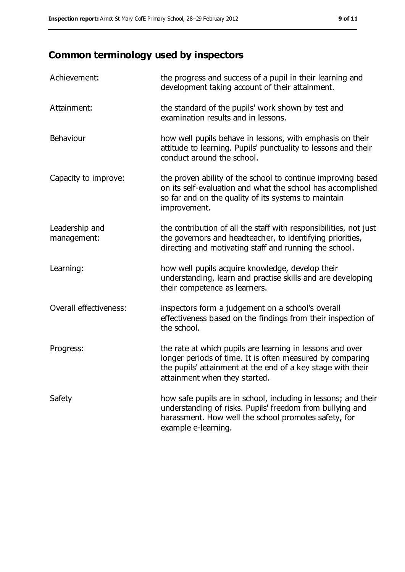# **Common terminology used by inspectors**

| Achievement:                  | the progress and success of a pupil in their learning and<br>development taking account of their attainment.                                                                                                           |
|-------------------------------|------------------------------------------------------------------------------------------------------------------------------------------------------------------------------------------------------------------------|
| Attainment:                   | the standard of the pupils' work shown by test and<br>examination results and in lessons.                                                                                                                              |
| Behaviour                     | how well pupils behave in lessons, with emphasis on their<br>attitude to learning. Pupils' punctuality to lessons and their<br>conduct around the school.                                                              |
| Capacity to improve:          | the proven ability of the school to continue improving based<br>on its self-evaluation and what the school has accomplished<br>so far and on the quality of its systems to maintain<br>improvement.                    |
| Leadership and<br>management: | the contribution of all the staff with responsibilities, not just<br>the governors and headteacher, to identifying priorities,<br>directing and motivating staff and running the school.                               |
| Learning:                     | how well pupils acquire knowledge, develop their<br>understanding, learn and practise skills and are developing<br>their competence as learners.                                                                       |
| Overall effectiveness:        | inspectors form a judgement on a school's overall<br>effectiveness based on the findings from their inspection of<br>the school.                                                                                       |
| Progress:                     | the rate at which pupils are learning in lessons and over<br>longer periods of time. It is often measured by comparing<br>the pupils' attainment at the end of a key stage with their<br>attainment when they started. |
| Safety                        | how safe pupils are in school, including in lessons; and their<br>understanding of risks. Pupils' freedom from bullying and<br>harassment. How well the school promotes safety, for<br>example e-learning.             |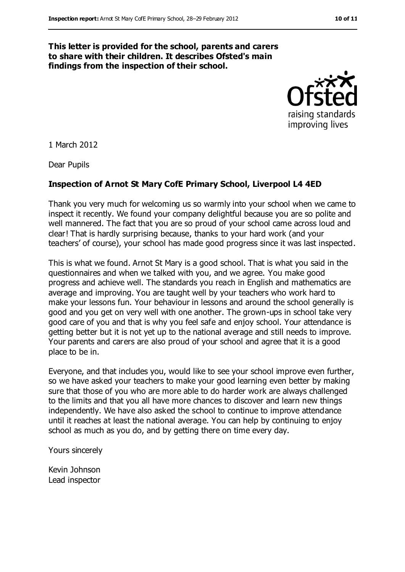#### **This letter is provided for the school, parents and carers to share with their children. It describes Ofsted's main findings from the inspection of their school.**



1 March 2012

Dear Pupils

#### **Inspection of Arnot St Mary CofE Primary School, Liverpool L4 4ED**

Thank you very much for welcoming us so warmly into your school when we came to inspect it recently. We found your company delightful because you are so polite and well mannered. The fact that you are so proud of your school came across loud and clear! That is hardly surprising because, thanks to your hard work (and your teachers' of course), your school has made good progress since it was last inspected.

This is what we found. Arnot St Mary is a good school. That is what you said in the questionnaires and when we talked with you, and we agree. You make good progress and achieve well. The standards you reach in English and mathematics are average and improving. You are taught well by your teachers who work hard to make your lessons fun. Your behaviour in lessons and around the school generally is good and you get on very well with one another. The grown-ups in school take very good care of you and that is why you feel safe and enjoy school. Your attendance is getting better but it is not yet up to the national average and still needs to improve. Your parents and carers are also proud of your school and agree that it is a good place to be in.

Everyone, and that includes you, would like to see your school improve even further, so we have asked your teachers to make your good learning even better by making sure that those of you who are more able to do harder work are always challenged to the limits and that you all have more chances to discover and learn new things independently. We have also asked the school to continue to improve attendance until it reaches at least the national average. You can help by continuing to enjoy school as much as you do, and by getting there on time every day.

Yours sincerely

Kevin Johnson Lead inspector